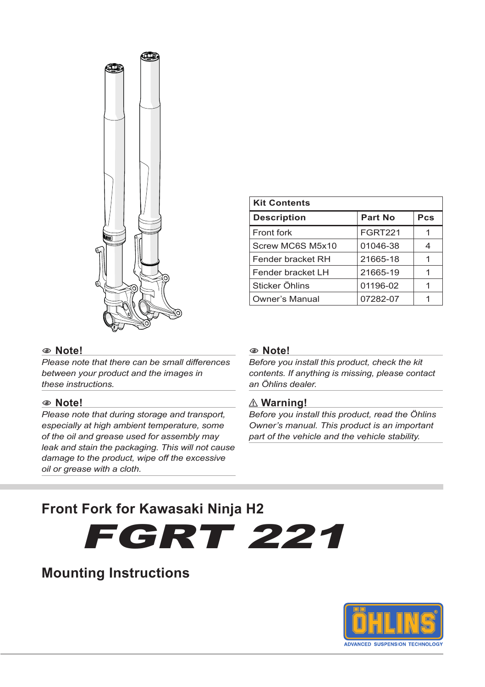

| <b>Kit Contents</b>   |                |     |
|-----------------------|----------------|-----|
| <b>Description</b>    | Part No        | Pcs |
| Front fork            | <b>FGRT221</b> |     |
| Screw MC6S M5x10      | 01046-38       |     |
| Fender bracket RH     | 21665-18       |     |
| Fender bracket LH     | 21665-19       |     |
| Sticker Öhlins        | 01196-02       |     |
| <b>Owner's Manual</b> | 07282-07       |     |

### 1**1 Note!**

*Please note that there can be small differences between your product and the images in these instructions.*

#### 1**1 Note!**

*Please note that during storage and transport, especially at high ambient temperature, some of the oil and grease used for assembly may leak and stain the packaging. This will not cause damage to the product, wipe off the excessive oil or grease with a cloth.*

#### 1**1 Note!**

*Before you install this product, check the kit contents. If anything is missing, please contact an Öhlins dealer.*

#### ⚠ **Warning!**

*Before you install this product, read the Öhlins Owner's manual. This product is an important part of the vehicle and the vehicle stability.*

# **Front Fork for Kawasaki Ninja H2**



# **Mounting Instructions**

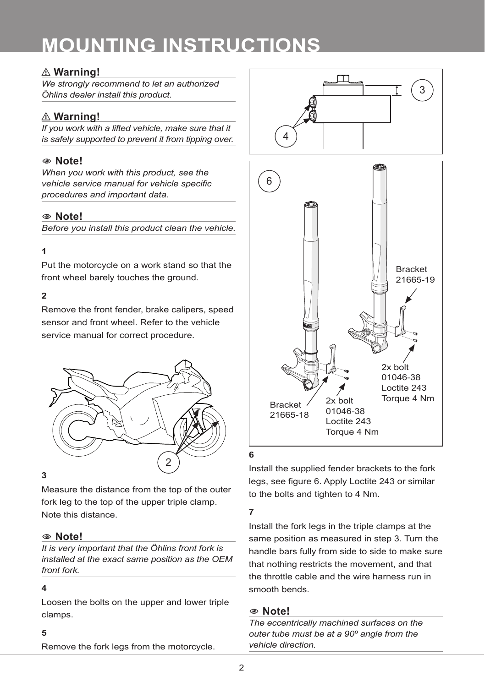# **MOUNTING INSTRUCTIONS**

## ⚠ **Warning!**

*We strongly recommend to let an authorized Öhlins dealer install this product.*

# ⚠ **Warning!**

*If you work with a lifted vehicle, make sure that it is safely supported to prevent it from tipping over.*

## 1**1 Note!**

*When you work with this product, see the vehicle service manual for vehicle specific procedures and important data.*

### 1**1 Note!**

*Before you install this product clean the vehicle.*

### **1**

Put the motorcycle on a work stand so that the front wheel barely touches the ground.

### **2**

Remove the front fender, brake calipers, speed sensor and front wheel. Refer to the vehicle service manual for correct procedure.



### **3**

Measure the distance from the top of the outer fork leg to the top of the upper triple clamp. Note this distance.

### 1**1 Note!**

*It is very important that the Öhlins front fork is installed at the exact same position as the OEM front fork.*

#### **4**

Loosen the bolts on the upper and lower triple clamps.

#### **5**

Remove the fork legs from the motorcycle.





### **6**

Install the supplied fender brackets to the fork legs, see figure 6. Apply Loctite 243 or similar to the bolts and tighten to 4 Nm.

### **7**

Install the fork legs in the triple clamps at the same position as measured in step 3. Turn the handle bars fully from side to side to make sure that nothing restricts the movement, and that the throttle cable and the wire harness run in smooth bends.

### 1**1 Note!**

*The eccentrically machined surfaces on the outer tube must be at a 90º angle from the vehicle direction.*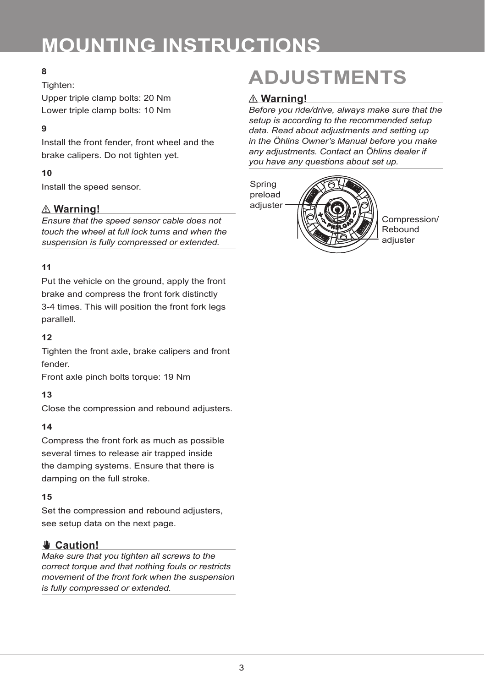# **MOUNTING INSTRUCTIONS**

## **8**

### Tighten:

Upper triple clamp bolts: 20 Nm Lower triple clamp bolts: 10 Nm

### **9**

Install the front fender, front wheel and the brake calipers. Do not tighten yet.

### **10**

Install the speed sensor.

## ⚠ **Warning!**

*Ensure that the speed sensor cable does not touch the wheel at full lock turns and when the suspension is fully compressed or extended.* 

### **11**

Put the vehicle on the ground, apply the front brake and compress the front fork distinctly 3-4 times. This will position the front fork legs parallell.

### **12**

Tighten the front axle, brake calipers and front fender.

Front axle pinch bolts torque: 19 Nm

### **13**

Close the compression and rebound adjusters.

### **14**

Compress the front fork as much as possible several times to release air trapped inside the damping systems. Ensure that there is damping on the full stroke.

### **15**

Set the compression and rebound adjusters, see setup data on the next page.

## ✋**✋ Caution!**

*Make sure that you tighten all screws to the correct torque and that nothing fouls or restricts movement of the front fork when the suspension is fully compressed or extended.*

# **ADJUSTMENTS**

### ⚠ **Warning!**

*Before you ride/drive, always make sure that the setup is according to the recommended setup data. Read about adjustments and setting up in the Öhlins Owner's Manual before you make any adjustments. Contact an Öhlins dealer if you have any questions about set up.*



Compression/ Rebound adiuster